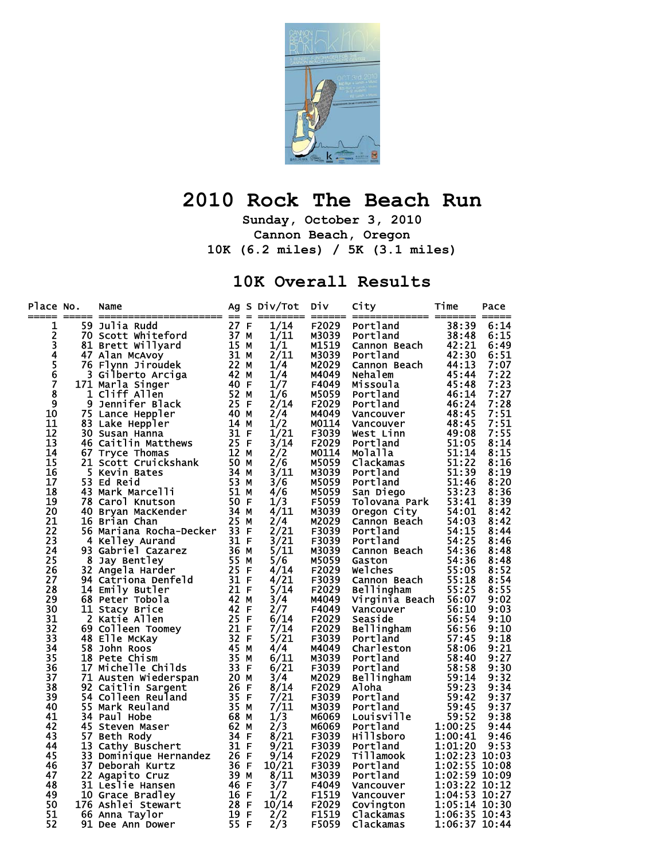

## **2010 Rock The Beach Run**

**Sunday, October 3, 2010 Cannon Beach, Oregon 10K (6.2 miles) / 5K (3.1 miles)** 

## **10K Overall Results**

| Place No.      |   | Name                                               |                   | Ag S Div/Tot | <b>Div</b>   | City           | Time          | Pace |
|----------------|---|----------------------------------------------------|-------------------|--------------|--------------|----------------|---------------|------|
| 1              |   | 59 Julia Rudd                                      | 27 F              | 1/14         | F2029        | Portland       | 38:39         | 6:14 |
|                |   | 70 Scott Whiteford                                 | 37 M              | 1/11         | M3039        | Portland       | 38:48         | 6:15 |
| 2<br>3         |   | 81 Brett Willyard                                  | 15 M              | 1/1          | M1519        | Cannon Beach   | 42:21         | 6:49 |
| $\overline{4}$ |   | 47 Alan McAvoy                                     | 31 M              | 2/11         | M3039        | Portland       | 42:30         | 6:51 |
| $\frac{5}{6}$  |   | 76 Flynn Jiroudek                                  | 22 M              | 1/4          | M2029        | Cannon Beach   | 44:13         | 7:07 |
|                |   | 3 Gilberto Arciga                                  | 42 M              | 1/4          | M4049        | Nehalem        | 45:44         | 7:22 |
|                |   | 171 Marla Singer                                   | 40 F              | 1/7          | F4049        | Missoula       | 45:48         | 7:23 |
| 8              |   | 1 Cliff Allen                                      | 52 M              | 1/6          | M5059        | Portland       | 46:14         | 7:27 |
| $\overline{9}$ |   | 9 Jennifer Black                                   | 25 F              | 2/14         | <b>F2029</b> | Portland       | 46:24         | 7:28 |
| 10             |   | 75 Lance Heppler                                   | 40 M              | 2/4          | M4049        | Vancouver      | 48:45         | 7:51 |
| 11             |   | 83 Lake Heppler                                    | 14 M              | 1/2          | M0114        | Vancouver      | 48:45         | 7:51 |
| 12             |   | 30 Susan Hanna                                     | 31 F              | 1/21         | F3039        | West Linn      | 49:08         | 7:55 |
| 13             |   | 46 Caitlin Matthews 25 F                           |                   | 3/14         | F2029        | Portland       | 51:05         | 8:14 |
| 14             |   | 67 Tryce Thomas                                    | $\overline{12}$ M | 2/2          | M0114        | Molalla        | 51:14         | 8:15 |
| 15             |   | 21 Scott Cruickshank                               | 50 M              | 2/6          | M5059        | Clackamas      | 51:22         | 8:16 |
| 16             |   | 5 Kevin Bates                                      | 34 M              | 3/11         | M3039        | Portland       | 51:39         | 8:19 |
| 17             |   | <b>53 Ed Reid</b>                                  | 53 M              | 3/6          | M5059        | Portland       | 51:46         | 8:20 |
| 18             |   | 43 Mark Marcelli                                   | 51 M              | 4/6          | M5059        | San Diego      | 53:23         | 8:36 |
| 19             |   | 78 Carol Knutson                                   | 50 F              | 1/3          | F5059        | Tolovana Park  | 53:41         | 8:39 |
| 20             |   | 40 Bryan MacKender                                 | 34 M              | 4/11         | M3039        | Oregon City    | 54:01         | 8:42 |
| 21             |   | 16 Brian Chan                                      | 25 M              | 2/4          | M2029        | Cannon Beach   | 54:03         | 8:42 |
| 22             |   | 56 Mariana Rocha-Decker 33 F                       |                   | 2/21         | F3039        | Portland       | 54:15         | 8:44 |
| 23             |   | 4 Kelley Aurand<br>93 Gabriel Cazarez              | 31 F              | 3/21         | F3039        | Portland       | 54:25         | 8:46 |
| 24             |   | — 31 г<br>36 м                                     |                   | 5/11         | M3039        | Cannon Beach   | 54:36         | 8:48 |
| 25             | 8 | Jay Bentley                                        | 55 M              | 5/6          | M5059        | Gaston         | 54:36         | 8:48 |
| 26             |   | $\frac{25}{31}$ F<br>32 Angela Harder              |                   | 4/14         | F2029        | Welches        | 55:05         | 8:52 |
| 27             |   | 94 Catriona Denfeld                                |                   | 4/21         | F3039        | Cannon Beach   | 55:18         | 8:54 |
| 28             |   | 14 Emily Butler                                    | 21 F              | 5/14         | F2029        | Bellingham     | 55:25         | 8:55 |
| 29             |   | 68 Peter Tobola                                    | 42 M              | 3/4          | M4049        | Virginia Beach | 56:07         | 9:02 |
| 30             |   | 11 Stacy Brice                                     | 42 F              | 2/7          | F4049        | Vancouver      | 56:10         | 9:03 |
| 31             |   | 2 Katie Allen                                      | 25 F              | 6/14         | F2029        | Seaside        | 56:54         | 9:10 |
| 32             |   | 69 Colleen Toomey<br>48 Elle McKay<br>58 John Boos | 21 F              | 7/14         | F2029        | Bellingham     | 56:56         | 9:10 |
| 33             |   |                                                    | 32 F              | 5/21         | F3039        | Portland       | 57:45         | 9:18 |
| 34             |   | 58 John Roos                                       | 45 M              | 4/4          | M4049        | Charleston     | 58:06         | 9:21 |
| 35             |   | 18 Pete Chism                                      | 35 M              | 6/11         | M3039        | Portland       | 58:40         | 9:27 |
| 36             |   | 17 Michelle Childs                                 | 33 F              | 6/21         | F3039        | Portland       | 58:58         | 9:30 |
| 37             |   | 71 Austen Wiederspan                               | 20 M              | 3/4          | M2029        | Bellingham     | 59:14         | 9:32 |
| 38             |   | 92 Caitlin Sargent                                 | 26 F              | 8/14         | F2029        | Aloha          | 59:23         | 9:34 |
| 39             |   | 54 Colleen Reuland                                 | 35 F              | 7/21         | F3039        | Portland       | 59:42         | 9:37 |
| 40             |   | 55 Mark Reuland                                    | 35 M              | 7/11         | M3039        | Portland       | 59:45         | 9:37 |
| 41             |   | 34 Paul Hobe                                       | 68 M              | 1/3          | M6069        | Louisville     | 59:52         | 9:38 |
| 42             |   | 45 Steven Maser                                    | 62 M              | 2/3          | M6069        | Portland       | 1:00:25       | 9:44 |
| 43             |   | 57 Beth Rody                                       | 34 F              | 8/21         | F3039        | Hillsboro      | 1:00:41       | 9:46 |
| 44             |   | 13 Cathy Buschert                                  | 31 F              | 9/21         | F3039        | Portland       | 1:01:20       | 9:53 |
| 45             |   | 33 Dominique Hernandez                             | 26 F              | 9/14         | F2029        | Tillamook      | 1:02:23 10:03 |      |
| 46             |   | 37 Deborah Kurtz                                   | 36 F              | 10/21        | F3039        | Portland       | 1:02:55 10:08 |      |
| 47             |   | 22 Agapito Cruz                                    | 39 M              | 8/11         | M3039        | Portland       | 1:02:59 10:09 |      |
| 48             |   | 31 Leslie Hansen                                   | 46 F              | 3/7          | F4049        | Vancouver      | 1:03:22 10:12 |      |
| 49             |   | 10 Grace Bradley                                   | 16 F              | 1/2          | F1519        | Vancouver      | 1:04:53 10:27 |      |
| 50             |   | 176 Ashlei Stewart                                 | 28 F              | 10/14        | F2029        | Covington      | 1:05:14 10:30 |      |
| 51             |   | 66 Anna Taylor                                     | 19 F              | 2/2          | F1519        | Clackamas      | 1:06:35 10:43 |      |
| 52             |   | <b>91 Dee Ann Dower</b>                            | 55 F              | 2/3          | F5059        | Clackamas      | 1:06:37 10:44 |      |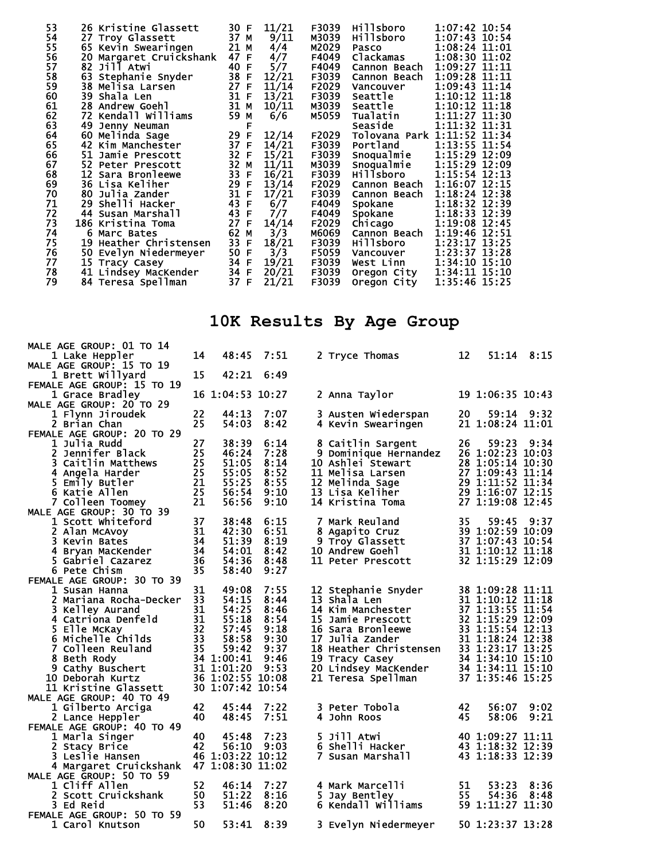| 53 | 26 Kristine Glassett       | 30 F                 | 11/21 | F3039 | Hillsboro    | 1:07:42 10:54               |
|----|----------------------------|----------------------|-------|-------|--------------|-----------------------------|
| 54 | 27 Troy Glassett           | 37 M                 | 9/11  | M3039 | Hillsboro    | 1:07:43 10:54               |
| 55 | 65 Kevin Swearingen        | 21 M                 | 4/4   | M2029 | <b>Pasco</b> | 1:08:24 11:01               |
| 56 | Margaret Cruickshank<br>20 | 47 F                 | 4/7   | F4049 | Clackamas    | 1:08:30 11:02               |
| 57 | Jill̃ Atwi<br>82           | 40 F                 | 5/7   | F4049 | Cannon Beach | 1:09:27 11:11               |
| 58 | 63 Stephanie Snyder        | 38 F                 | 12/21 | F3039 | Cannon Beach | 1:09:28 11:11               |
| 59 | 38 Melisa Larsen           | 27 F                 | 11/14 | F2029 | Vancouver    | 1:09:43 11:14               |
| 60 | 39 Shala Len               | 31 F                 | 13/21 | F3039 | Seattle      | $1:10:12$ $11:18$           |
| 61 | <b>28 Andrew Goehl</b>     | 31 M                 | 10/11 | M3039 | Seattle      | 1:10:12 11:18               |
| 62 | 72 Kendall Williams        | 59 M                 | 6/6   | M5059 | Tualatin     | 1:11:27 11:30               |
| 63 | 49 Jenny Neuman            | F                    |       |       | Seaside      | 1:11:32 11:31               |
| 64 | 60 Melinda Sage            | 29 F                 | 12/14 | F2029 |              | Tolovana Park 1:11:52 11:34 |
| 65 | 42 Kim Manchester          | 37 F                 | 14/21 | F3039 | Portland     | 1:13:55 11:54               |
| 66 | 51 Jamie Prescott          | 32 F                 | 15/21 | F3039 | Snoqualmie   | 1:15:29 12:09               |
| 67 | 52 Peter Prescott          | 32 <sub>2</sub><br>M | 11/11 | M3039 | Snoqualmie   | 1:15:29 12:09               |
| 68 | 12 Sara Bronleewe          | 33 F                 | 16/21 | F3039 | Hillsboro    | 1:15:54 12:13               |
| 69 | 36 Lisa Keliher            | 29 F                 | 13/14 | F2029 | Cannon Beach | 1:16:07 12:15               |
| 70 | 80 Julia Zander            | 31 F                 | 17/21 | F3039 | Cannon Beach | 1:18:24 12:38               |
| 71 | 29 Shelli Hacker           | 43<br>$\mathsf F$    | 6/7   | F4049 | Spokane      | 1:18:32 12:39               |
| 72 | 44 Susan Marshall          | 43<br>-F             | 7/7   | F4049 | Spokane      | 1:18:33 12:39               |
| 73 | 186 Kristina Toma          | 27 F                 | 14/14 | F2029 | Chicago      | 1:19:08 12:45               |
| 74 | 6 Marc Bates               | 62 M                 | 3/3   | M6069 | Cannon Beach | 1:19:46 12:51               |
| 75 | 19 Heather Christensen     | 33 F                 | 18/21 | F3039 | Hillsboro    | 1:23:17 13:25               |
| 76 | 50<br>Evelyn Niedermeyer   | 50 F                 | 3/3   | F5059 | Vancouver    | 1:23:37 13:28               |
| 77 | 15 Tracy Casey             | 34 F                 | 19/21 | F3039 | West Linn    | 1:34:10 15:10               |
| 78 | 41 Lindsey MacKender       | 34<br>F              | 20/21 | F3039 | Oregon City  | 1:34:11 15:10               |
| 79 | 84 Teresa Spellman         | 37 F                 | 21/21 | F3039 | Oregon City  | 1:35:46 15:25               |

## **10K Results By Age Group**

| MALE AGE GROUP: 01 TO 14         | 14       |                  | 7:51 |    |                                                                              | 12 | $51:14$ $8:15$                                                                                                     |      |
|----------------------------------|----------|------------------|------|----|------------------------------------------------------------------------------|----|--------------------------------------------------------------------------------------------------------------------|------|
| 1 Lake Heppler                   |          | 48:45            |      |    | 2 Tryce Thomas                                                               |    |                                                                                                                    |      |
| MALE AGE GROUP: 15 TO 19         | 15       | 42:21            | 6:49 |    |                                                                              |    |                                                                                                                    |      |
| 1 Brett Willyard                 |          |                  |      |    |                                                                              |    |                                                                                                                    |      |
| FEMALE AGE GROUP: 15 TO 19       |          | 16 1:04:53 10:27 |      |    |                                                                              |    | 19 1:06:35 10:43                                                                                                   |      |
| 1 Grace Bradley                  |          |                  |      |    | 2 Anna Taylor                                                                |    |                                                                                                                    |      |
| MALE AGE GROUP: 20 TO 29         | 22       |                  | 7:07 |    |                                                                              | 20 | 59:14                                                                                                              | 9:32 |
| 1 Flynn Jiroudek                 | 25       | 44:13<br>54:03   |      |    | 3 Austen Wiederspan                                                          |    |                                                                                                                    |      |
| 2 Brian Chan                     |          |                  | 8:42 |    | 4 Kevin Swearingen                                                           |    | 21 1:08:24 11:01                                                                                                   |      |
| FEMALE AGE GROUP: 20 TO 29       |          |                  |      |    |                                                                              |    |                                                                                                                    |      |
| 1 Julia Rudd<br>2 Jennifer Black | 27<br>25 | 38:39            | 6:14 |    | 8 Caitlin Sargent                                                            | 26 | 59:23                                                                                                              | 9:34 |
|                                  |          | 46:24            | 7:28 |    | 9 Dominique Hernandez                                                        |    | 26 1:02:23 10:03                                                                                                   |      |
| 3 Caitlin Matthews               | 25       | 51:05            | 8:14 |    | 10 Ashlei Stewart                                                            |    | 28 1:05:14 10:30<br>28 1:05:14 10:30<br>27 1:09:43 11:14<br>29 1:11:52 11:34<br>29 1:16:07 12:15<br>14:16:07 12:15 |      |
| 4 Angela Harder                  | 25       | 55:05            | 8:52 |    | 11 Melisa Larsen                                                             |    |                                                                                                                    |      |
| 5 Emily Butler                   | 21       | 55:25            | 8:55 |    | 12 Melinda Sage                                                              |    |                                                                                                                    |      |
| 6 Katie Allen                    | 25       | 56:54            | 9:10 |    | 13 Lisa Keliher                                                              |    |                                                                                                                    |      |
| 7 Colleen Toomey                 | 21       | 56:56            | 9:10 |    | 14 Kristina Toma                                                             |    | 27 1:19:08 12:45                                                                                                   |      |
| MALE AGE GROUP: 30 TO 39         |          |                  |      |    |                                                                              |    |                                                                                                                    |      |
| 1 Scott Whiteford                | 37       | 38:48            | 6:15 |    | 7 Mark Reuland                                                               | 35 | 59:45                                                                                                              | 9:37 |
| 2 Alan McAvoy                    | 31       | 42:30            | 6:51 |    | 8 Agapito Cruz                                                               |    | 39 1:02:59 10:09                                                                                                   |      |
| 3 Kevin Bates                    | 34       | 51:39            | 8:19 |    | 9 Troy Glassett                                                              |    | 37 1:07:43 10:54                                                                                                   |      |
| 4 Bryan MacKender                | 34       | 54:01            | 8:42 |    | 10 Andrew Goehl                                                              |    | 31 1:10:12 11:18                                                                                                   |      |
| 5 Gabriel Cazarez                | 36       | 54:36            | 8:48 |    | 11 Peter Prescott                                                            |    | 32 1:15:29 12:09                                                                                                   |      |
| 6 Pete Chism                     | 35       | 58:40            | 9:27 |    |                                                                              |    |                                                                                                                    |      |
| FEMALE AGE GROUP: 30 TO 39       |          |                  |      |    |                                                                              |    |                                                                                                                    |      |
| 1 Susan Hanna                    | 31       | 49:08            | 7:55 |    | 12 Stephanie Snyder                                                          |    | 38 1:09:28 11:11                                                                                                   |      |
| 2 Mariana Rocha-Decker           | 33       | 54:15            | 8:44 |    | 13 Shala Len                                                                 |    | 31 1:10:12 11:18                                                                                                   |      |
| 3 Kelley Aurand                  | 31       | 54:25            | 8:46 |    | 14 Kim Manchester                                                            |    | 37 1:13:55 11:54                                                                                                   |      |
| 4 Catriona Denfeld               | 31       | 55:18            | 8:54 |    | 15 Jamie Prescott                                                            |    | 32 1:15:29 12:09                                                                                                   |      |
| 5 Elle McKay                     | 32       | 57:45            | 9:18 |    | 16 Sara Bronleewe                                                            |    | 33 1:15:54 12:13                                                                                                   |      |
| 6 Michelle Childs                | 33       | 58:58            | 9:30 |    | 17 Julia Zander                                                              |    | 31 1:18:24 12:38                                                                                                   |      |
| 7 Colleen Reuland                | 35       | 59:42            | 9:37 |    | 18 Heather Christensen 33 1:23:17 13:25                                      |    |                                                                                                                    |      |
| 8 Beth Rody                      |          | 34 1:00:41       | 9:46 |    | 19 Tracy Casey                                                               |    | 34 1:34:10 15:10                                                                                                   |      |
| 9 Cathy Buschert                 |          | 31 1:01:20       | 9:53 |    | 20 Lindsey Mackender 34 1:34:11 15:10<br>21 Tenese Spollman 37 1:35:46 15:25 |    |                                                                                                                    |      |
| 10 Deborah Kurtz                 |          | 36 1:02:55 10:08 |      |    | 21 Teresa Spellman                                                           |    | 37 1:35:46 15:25                                                                                                   |      |
| 11 Kristine Glassett             |          | 30 1:07:42 10:54 |      |    |                                                                              |    |                                                                                                                    |      |
| MALE AGE GROUP: 40 TO 49         |          |                  |      |    |                                                                              |    |                                                                                                                    |      |
| 1 Gilberto Arciga                | 42       | 45:44            | 7:22 |    | 3 Peter Tobola                                                               | 42 | 56:07                                                                                                              | 9:02 |
| 2 Lance Heppler                  | 40       | 48:45            | 7:51 |    | 4 John Roos                                                                  | 45 | 58:06                                                                                                              | 9:21 |
| FEMALE AGE GROUP: 40 TO 49       |          |                  |      |    |                                                                              |    |                                                                                                                    |      |
| 1 Marla Singer                   | 40       | 45:48            | 7:23 |    | 5 Jill Atwi                                                                  |    | 40 1:09:27 11:11                                                                                                   |      |
| 2 Stacy Brice                    | 42       | 56:10            | 9:03 |    | 6 Shelli Hacker                                                              |    | 43 1:18:32 12:39                                                                                                   |      |
| 3 Leslie Hansen                  |          | 46 1:03:22 10:12 |      |    | 7 Susan Marshall                                                             |    | 43 1:18:33 12:39                                                                                                   |      |
| 4 Margaret Cruickshank           |          | 47 1:08:30 11:02 |      |    |                                                                              |    |                                                                                                                    |      |
| MALE AGE GROUP: 50 TO 59         |          |                  |      |    |                                                                              |    |                                                                                                                    |      |
| 1 Cliff Allen                    | 52       | 46:14            | 7:27 |    | 4 Mark Marcelli                                                              | 51 | 53:23                                                                                                              | 8:36 |
| 2 Scott Cruickshank              | 50       | 51:22            | 8:16 | 5. | Jay Bentley                                                                  | 55 | 54:36                                                                                                              | 8:48 |
| <b>3 Ed Reid</b>                 | 53       | 51:46            | 8:20 |    | 6 Kendall Williams                                                           |    | 59 1:11:27 11:30                                                                                                   |      |
| FEMALE AGE GROUP: 50 TO 59       |          |                  |      |    |                                                                              |    |                                                                                                                    |      |
| 1 Carol Knutson                  | 50       | 53:41            | 8:39 |    | 3 Evelyn Niedermeyer                                                         |    | 50 1:23:37 13:28                                                                                                   |      |
|                                  |          |                  |      |    |                                                                              |    |                                                                                                                    |      |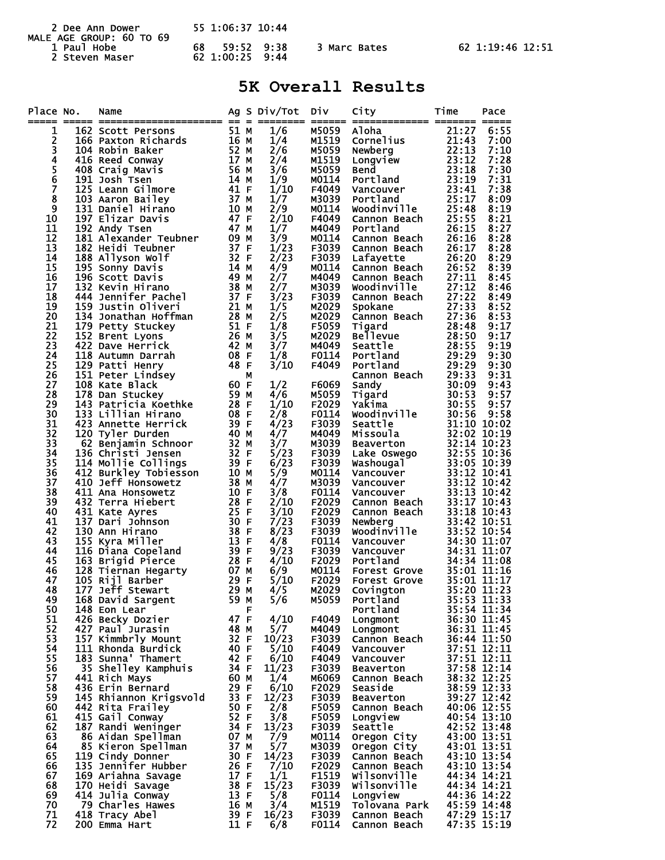| 2 Dee Ann Dower<br>MALE AGE GROUP: 60 TO 69 | 55 1:06:37 10:44                    |              |                  |  |  |
|---------------------------------------------|-------------------------------------|--------------|------------------|--|--|
| 1 Paul Hobe<br>2 Steven Maser               | 59:52 9:38<br>68<br>62 1:00:25 9:44 | 3 Marc Bates | 62 1:19:46 12:51 |  |  |

## **5K Overall Results**

| Place No.     | Name                                                                                                                                                                                                                                            |                   |   | Ag S Div/Tot   | Div.           | City                                                                                     | Time                       | Pace                       |
|---------------|-------------------------------------------------------------------------------------------------------------------------------------------------------------------------------------------------------------------------------------------------|-------------------|---|----------------|----------------|------------------------------------------------------------------------------------------|----------------------------|----------------------------|
| 1             | 162 Scott Persons                                                                                                                                                                                                                               | 51 M              |   | 1/6            | M5059 Aloha    |                                                                                          | 21:27                      | 6:55                       |
| 2             | 15<br>16<br>16<br>52 M<br>17 M<br>17 M<br>56 M<br>14 M<br>21 F<br>166 Paxton Richards                                                                                                                                                           |                   |   | 1/4            | M1519          | Cornelius                                                                                | 21:43                      | 7:00                       |
| 3             | 104 Robin Baker                                                                                                                                                                                                                                 |                   |   | 2/6            | M5059          | Newberg                                                                                  | 22:13                      | 7:10                       |
| 4             | 416 Reed Conway                                                                                                                                                                                                                                 |                   |   | 2/4            | M1519          | Longview                                                                                 | 23:12                      | 7:28                       |
| $\frac{5}{6}$ | 408 Craig Mavis                                                                                                                                                                                                                                 |                   |   | 3/6            | M5059          | <b>Bend</b>                                                                              | 23:18                      | 7:30                       |
|               | 191 Josh Tsen                                                                                                                                                                                                                                   |                   |   | 1/9            | M0114          | Portland                                                                                 | 23:19                      | 7:31                       |
| 7             | 125 Leann Gilmore                                                                                                                                                                                                                               |                   |   | 1/10           | F4049          | Vancouver                                                                                | 23:41                      | 7:38                       |
| 8<br>9        |                                                                                                                                                                                                                                                 |                   |   | 1/7<br>2/9     | M3039<br>M0114 | Portland<br>Woodinville                                                                  | 25:17<br>25:48             | 8:09<br>8:19               |
| 10            |                                                                                                                                                                                                                                                 |                   |   | 2/10           | F4049          | Cannon Beach                                                                             | 25:55                      | 8:21                       |
| 11            |                                                                                                                                                                                                                                                 |                   |   | 1/7            | M4049          | Portland                                                                                 | 26:15                      | 8:27                       |
| 12            |                                                                                                                                                                                                                                                 |                   |   | 3/9            | M0114          | Cannon Beach                                                                             | 26:16                      | 8:28                       |
| 13            |                                                                                                                                                                                                                                                 |                   |   | 1/23           | F3039          | Cannon Beach                                                                             | 26:17                      | 8:28                       |
| 14            |                                                                                                                                                                                                                                                 |                   |   | 2/23           | F3039          | Lafayette                                                                                | 26:20                      | 8:29                       |
| 15            | 123 Leann Silmore<br>103 Aaron Bailey<br>131 Daniel Hirano<br>197 Elizar Davis<br>192 Andy Tsen<br>181 Alexander Teubner<br>182 Heidi Teubner<br>182 Heidi Teubner<br>182 Allyson wolf<br>195 Sonty Davis<br>196 Scott Davis<br>198 Sonty Davis |                   |   | 4/9            | M0114          | Cannon Beach                                                                             | 26:52                      | 8:39                       |
| 16            |                                                                                                                                                                                                                                                 |                   |   | 2/7            | M4049          | Cannon Beach                                                                             | 27:11                      | 8:45                       |
| 17<br>18      |                                                                                                                                                                                                                                                 |                   |   | 2/7<br>3/23    | м3039<br>F3039 | woodinville<br>Cannon Beach                                                              | 27:12<br>27:22             | 8:46<br>8:49               |
| 19            |                                                                                                                                                                                                                                                 |                   |   | 1/5            | M2029          | Spokane                                                                                  | 27:33                      | 8:52                       |
| 20            | $28$ M<br>134 Jonathan Hoffman                                                                                                                                                                                                                  |                   |   | 2/5            | M2029          | Cannon Beach                                                                             | 27:36                      | 8:53                       |
| 21            | 179 Petty Stuckey<br>5т.<br>26 М<br>42 М<br>^8 F                                                                                                                                                                                                |                   |   | 1/8            | F5059          | Tigard                                                                                   | 28:48                      | 9:17                       |
| 22            | 152 Brent Lyons                                                                                                                                                                                                                                 |                   |   | 3/5            | M2029          | <b>Bellevue</b>                                                                          | 28:50                      | 9:17                       |
| 23            | 422 Dave Herrick                                                                                                                                                                                                                                |                   |   | 3/7            | M4049          | Seattle                                                                                  | 28:55                      | 9:19                       |
| 24            | 08 F<br>48 F<br>118 Autumn Darrah                                                                                                                                                                                                               |                   |   | 1/8            | F0114          | Portland                                                                                 | 29:29                      | 9:30                       |
| 25            | 129 Patti Henry                                                                                                                                                                                                                                 |                   |   | 3/10           | F4049          | Portland                                                                                 | 29:29                      | 9:30                       |
| 26<br>27      | 151 Peter Lindsey<br>108 Kate Black                                                                                                                                                                                                             | $60 \text{ F}$    |   | 1/2            | F6069          | Cannon Beach<br>Sandy                                                                    | 29:33<br>30:09             | 9:31<br>9:43               |
| 28            |                                                                                                                                                                                                                                                 | 59 M              |   | 4/6            | M5059          | Tigard                                                                                   | 30:53                      | 9:57                       |
| 29            | 178 Dan Stuckey<br>143 Patricia Koethke 28 F                                                                                                                                                                                                    |                   |   | 1/10           | F2029          | Yaƙima                                                                                   | 30:55                      | 9:57                       |
| 30            | 133 Lillian Hirano                                                                                                                                                                                                                              | 08 F              |   | 2/8            | F0114          | Woodinville                                                                              | 30:56                      | 9:58                       |
| 31            | 423 Annette Herrick<br>$\begin{array}{cc}\n & 40 \text{ m} \\  & 32 \text{ M} \\  & 32 \text{ F} \\  & & \ddots \\  & & & \end{array}$                                                                                                          |                   |   | 4/23           | F3039          | Seattle                                                                                  |                            | 31:10 10:02                |
| 32            | 120 Tyler Durden                                                                                                                                                                                                                                |                   |   | 4/7            | M4049          | Missoula                                                                                 | 32:02 10:19                |                            |
| 33            | 62 Benjamin Schnoor                                                                                                                                                                                                                             |                   |   | 3/7            | M3039          | Beaverton                                                                                |                            | 32:14 10:23                |
| 34<br>35      | 136 Christi Jensen                                                                                                                                                                                                                              | 39 F              |   | $\frac{5}{23}$ | F3039<br>F3039 | Lake Oswego                                                                              |                            | 32:55 10:36<br>33:05 10:39 |
| 36            | 114 Mollie Collings<br>412 Burkley Tobiesson                                                                                                                                                                                                    | 10 M              |   | 5/9            | M0114          | Washougal<br>Vancouver                                                                   |                            | 33:12 10:41                |
| 37            | 410 Jeff Honsowetz                                                                                                                                                                                                                              | 38 M              |   | 4/7            | M3039          | Vancouver                                                                                |                            | 33:12 10:42                |
| 38            | 411 Ana Honsowetz                                                                                                                                                                                                                               | 10 F              |   | 3/8            | F0114          | Vancouver                                                                                | 33:13 10:42                |                            |
| 39            | 432 Terra Hiebert                                                                                                                                                                                                                               | 28 F              |   | 2/10           | F2029          | Cannon Beach                                                                             |                            | 33:17 10:43                |
| 40            | 431 Kate Ayres                                                                                                                                                                                                                                  | 25 F              |   | 3/10           | F2029          | Cannon Beach                                                                             |                            | 33:18 10:43                |
| 41            | 137 Dari Johnson                                                                                                                                                                                                                                | 30 F              |   | 7/23           | F3039          | Newberg<br>Newberg<br>Woodinville                                                        |                            | 33:42 10:51                |
| 42<br>43      | 130 Ann Hirano<br>155 Kyra Miller                                                                                                                                                                                                               | 38 F<br>13 F      |   | 8/23           | F3039<br>F0114 |                                                                                          |                            | 33:52 10:54<br>34:30 11:07 |
| 44            | 116 Diana Copeland                                                                                                                                                                                                                              | 39 F              |   | 4/8<br>9/23    | F3039          | <b>Vancouver<br/>Vancouver<br/>Portland<br/>Forest Grove<br/>Covington<br/>Covington</b> |                            | 34:31 11:07                |
| 45            | 163 Brigid Pierce                                                                                                                                                                                                                               | 28 F              |   | 4/10           | F2029          |                                                                                          |                            | 34:34 11:08                |
| 46            | 128 Tiernan Hegarty 07 M<br>105 Riil Barber 29 F                                                                                                                                                                                                |                   |   | 6/9            | M0114          |                                                                                          | $35:01$ $\overline{11}:16$ |                            |
| 47            | 105 Rijl Barber                                                                                                                                                                                                                                 | 29 F              |   | 5/10           | F2029          |                                                                                          | 35:01 11:17                |                            |
| 48            | 177 Jeff Stewart                                                                                                                                                                                                                                | 29 M              |   | 4/5            | M2029          |                                                                                          | 35:20 11:23                |                            |
| 49            | 168 David Sargent                                                                                                                                                                                                                               | 59 M              |   | 5/6            | M5059          | Portland                                                                                 |                            | 35:53 11:33                |
| 50<br>51      | 148 Eon Lear                                                                                                                                                                                                                                    | 47 F              | F | 4/10           | F4049          | Portland                                                                                 |                            | 35:54 11:34<br>36:30 11:45 |
| 52            | 426 Becky Dozier<br>427 Paul Jurasin                                                                                                                                                                                                            | 48 M              |   | 5/7            | M4049          | Longmont<br>Longmont                                                                     |                            | 36:31 11:45                |
| 53            | 157 Kimmbrly Mount                                                                                                                                                                                                                              | 32 F              |   | 10/23          | F3039          | Cannon Beach                                                                             |                            | 36:44 11:50                |
| 54            | 111 Rhonda Burdick                                                                                                                                                                                                                              | 40 F              |   | 5/10           | F4049          | Vancouver                                                                                |                            |                            |
| 55            | 183 Sunna' Thamert                                                                                                                                                                                                                              | 42 F              |   | 6/10           | F4049          | Vancouver                                                                                |                            | 37:51 12:11<br>37:51 12:11 |
| 56            | 35 Shelley Kamphuis                                                                                                                                                                                                                             | 34 F              |   | 11/23          | F3039          | <b>Beaverton</b>                                                                         |                            | 37:58 12:14<br>38:32 12:25 |
| 57            | 441 Rich Mays                                                                                                                                                                                                                                   | 60 M              |   | 1/4            | M6069          | Cannon Beach                                                                             |                            |                            |
| 58            | 436 Erin Bernard                                                                                                                                                                                                                                | $\frac{29}{33}$ F |   | 6/10           | F2029          | Seaside                                                                                  |                            | 38:59 12:33                |
| 59<br>60      | 145 Rhiannon Krigsvold<br>442 Rita Frailey                                                                                                                                                                                                      | 50 F              |   | 12/23          | F3039          | <b>Beaverton</b>                                                                         | 40:06 12:55                | 39:27 12:42                |
| 61            | 415 Gail Conway                                                                                                                                                                                                                                 | 52 F              |   | 2/8<br>3/8     | F5059<br>F5059 | Cannon Beach<br>Longview                                                                 |                            | 40:54 13:10                |
| 62            | 187 Randi Weninger                                                                                                                                                                                                                              | 34 F              |   | 13/23          | F3039          | Seattle                                                                                  | 42:52 13:48                |                            |
| 63            | 86 Aidan Spellman                                                                                                                                                                                                                               | 07 M              |   | 7/9            | M0114          | Oregon City                                                                              |                            | 43:00 13:51                |
| 64            | 85 Kieron Spellman                                                                                                                                                                                                                              | 37 M              |   | 5/7            | M3039          | Oregon City                                                                              | 43:01 13:51                |                            |
| 65            | 119 Cindy Donner                                                                                                                                                                                                                                | 30 F              |   | 14/23          | F3039          | Cannon Beach                                                                             |                            | 43:10 13:54                |
| 66            | 135 Jennifer Hubber                                                                                                                                                                                                                             | 26 F              |   | 7/10           | F2029          | Cannon Beach                                                                             | 43:10 13:54                |                            |
| 67            | 169 Ariahna Savage                                                                                                                                                                                                                              | 17 F              |   | 1/1            | F1519          | Wilsonville                                                                              |                            | 44:34 14:21                |
| 68<br>69      | 170 Heidi Savage<br>414 Julia Conway                                                                                                                                                                                                            | 38 F<br>13 F      |   | 15/23<br>5/8   | F3039<br>F0114 | Wilsonville<br>Longview                                                                  | 44:36 14:22                | 44:34 14:21                |
| 70            | 79 Charles Hawes                                                                                                                                                                                                                                | 16 M              |   | 3/4            | M1519          | Tolovana Park                                                                            | 45:59 14:48                |                            |
| 71            | 418 Tracy Abel                                                                                                                                                                                                                                  | 39 F              |   | 16/23          | F3039          | Cannon Beach                                                                             |                            | 47:29 15:17                |
| 72            | 200 Emma Hart                                                                                                                                                                                                                                   | 11 F              |   | 6/8            | F0114          | Cannon Beach                                                                             |                            | 47:35 15:19                |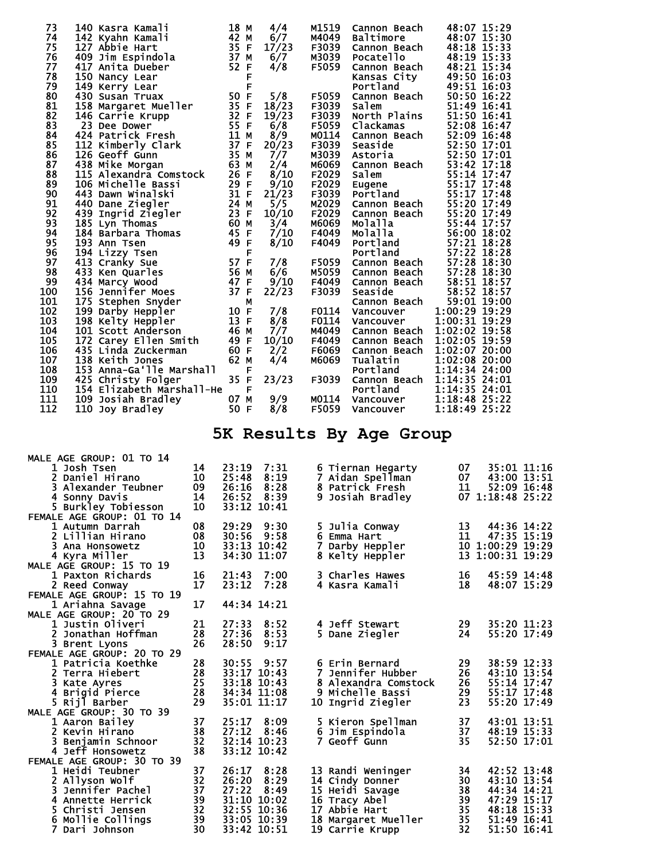| 73  | 140 Kasra Kamali                                                                                                                | 18 M |   | 4/4   | M1519 | Cannon Beach                      | 48:07 15:29   |  |
|-----|---------------------------------------------------------------------------------------------------------------------------------|------|---|-------|-------|-----------------------------------|---------------|--|
| 74  | 142 Kyahn Kamali                                                                                                                | 42 M |   | 6/7   | M4049 | Baltimore                         | 48:07 15:30   |  |
| 75  | 127 Abbie Hart                                                                                                                  | 35 F |   | 17/23 | F3039 | Cannon Beach                      | 48:18 15:33   |  |
| 76  | 409 Jim Espindola                                                                                                               | 37 M |   | 6/7   | M3039 | Pocatello                         | 48:19 15:33   |  |
| 77  | 417 Anita Dueber                                                                                                                | 52 F |   | 4/8   | F5059 | Cannon Beach                      | 48:21 15:34   |  |
| 78  | 150 Nancy Lear                                                                                                                  |      | F |       |       | Kansas City                       | 49:50 16:03   |  |
| 79  | 149 Kerry Lear                                                                                                                  |      | F |       |       | Portland                          | 49:51 16:03   |  |
| 80  | 430 Susan Truax                                                                                                                 | 50 F |   | 5/8   | F5059 | Portland<br>Cannon Beach<br>Salem | 50:50 16:22   |  |
| 81  | 158 Margaret Mueller                                                                                                            | 35 F |   | 18/23 | F3039 | Salem                             | 51:49 16:41   |  |
| 82  | 146 Carrie Krupp                                                                                                                | 32 F |   | 19/23 | F3039 | North Plains                      | 51:50 16:41   |  |
| 83  | 23 Dee Dower                                                                                                                    | 55 F |   | 6/8   | F5059 | Clackamas                         | 52:08 16:47   |  |
| 84  |                                                                                                                                 | 11M  |   | 8/9   | M0114 | Cannon Beach                      | 52:09 16:48   |  |
| 85  |                                                                                                                                 |      |   | 20/23 | F3039 | Seaside                           | 52:50 17:01   |  |
| 86  |                                                                                                                                 |      |   | 7/7   |       | M3039 Astoria                     | 52:50 17:01   |  |
| 87  | 424 Patrick Fresh 11 M<br>112 Kimberly Clark 37 F<br>126 Geoff Gunn 35 M<br>438 Mike Morgan 63 M<br>115 Alexandra Comstock 26 F |      |   | 2/4   | м6069 | Cannon Beach                      | 53:42 17:18   |  |
| 88  |                                                                                                                                 |      |   | 8/10  | F2029 | Salem                             | 55:14 17:47   |  |
| 89  | 29 F<br>106 Michelle Bassi                                                                                                      |      |   | 9/10  | F2029 | Eugene                            | 55:17 17:48   |  |
| 90  | 31 F<br>443 Dawn Winalski                                                                                                       |      |   | 21/23 | F3039 | Portland                          | 55:17 17:48   |  |
| 91  | 24M<br>440 Dane Ziegler                                                                                                         |      |   | 5/5   | M2029 | Cannon Beach                      | 55:20 17:49   |  |
| 92  | $\overline{2}3$ F<br>439 Ingrid Ziegler                                                                                         |      |   | 10/10 | F2029 | Cannon Beach                      | 55:20 17:49   |  |
| 93  | 185 Lyn Thomas                                                                                                                  | 60 M |   | 3/4   | M6069 | Molalla                           | 55:44 17:57   |  |
| 94  | 184 Barbara Thomas                                                                                                              | 45 F |   | 7/10  | F4049 | <b>Molalla</b>                    | 56:00 18:02   |  |
| 95  | 193 Ann Tsen                                                                                                                    | 49 F |   | 8/10  | F4049 | Portland                          | 57:21 18:28   |  |
| 96  | 194 Lizzy Tsen                                                                                                                  |      | F |       |       | Portland                          | 57:22 18:28   |  |
| 97  | 57 F<br>413 Cranky Sue                                                                                                          |      |   | 7/8   | F5059 | Cannon Beach                      | 57:28 18:30   |  |
| 98  | 433 Ken Quarles                                                                                                                 |      |   | 6/6   | M5059 | Cannon Beach                      | 57:28 18:30   |  |
| 99  | -- 56 M<br>47 F<br>37 F<br>434 Marcy Wood                                                                                       |      |   | 9/10  | F4049 | Cannon Beach                      | 58:51 18:57   |  |
| 100 | 156 Jennifer Moes                                                                                                               |      |   | 22/23 | F3039 | Seaside                           | 58:52 18:57   |  |
| 101 | 175 Stephen Snyder                                                                                                              |      | М |       |       | Cannon Beach                      | 59:01 19:00   |  |
| 102 | 199 Darby Heppler                                                                                                               | 10 F |   | 7/8   | F0114 | Vancouver                         | 1:00:29 19:29 |  |
| 103 | 198 Kelty Heppler                                                                                                               | 13 F |   | 8/8   | F0114 | Vancouver                         | 1:00:31 19:29 |  |
| 104 | 101 Scott Anderson                                                                                                              | 46 M |   | 7/7   | M4049 | Cannon Beach                      | 1:02:02 19:58 |  |
| 105 | 172 Carey Ellen Smith                                                                                                           | 49 F |   | 10/10 | F4049 | Cannon Beach                      | 1:02:05 19:59 |  |
| 106 | 435 Linda Zuckerman                                                                                                             | 60 F |   | 2/2   | F6069 | Cannon Beach                      | 1:02:07 20:00 |  |
| 107 | 138 Keith Jones                                                                                                                 | 62 M |   | 4/4   | M6069 | Tualatin                          | 1:02:08 20:00 |  |
| 108 | 153 Anna-Ga'lle Marshall                                                                                                        |      | F |       |       | Portland                          | 1:14:34 24:00 |  |
| 109 | 425 Christy Folger                                                                                                              | 35 F |   | 23/23 | F3039 | Cannon Beach                      | 1:14:35 24:01 |  |
| 110 | 154 Elizabeth Marshall-He                                                                                                       |      | F |       |       | Portland                          | 1:14:35 24:01 |  |
| 111 | 109 Josiah Bradley                                                                                                              | 07 M |   | 9/9   | M0114 | <b>Vancouver</b><br>Vancouver     | 1:18:48 25:22 |  |
| 112 | 110 Joy Bradley                                                                                                                 | 50 F |   | 8/8   | F5059 |                                   | 1:18:49 25:22 |  |
|     |                                                                                                                                 |      |   |       |       |                                   |               |  |

**5K Results By Age Group** 

| MALE AGE GROUP: 01 TO 14   |    |             |             |   |                      |     |                  |  |
|----------------------------|----|-------------|-------------|---|----------------------|-----|------------------|--|
| 1 Josh Tsen                | 14 | 23:19       | 7:31        |   | 6 Tiernan Hegarty    | 07  | 35:01 11:16      |  |
| 2 Daniel Hirano            | 10 | 25:48       | 8:19        |   | 7 Aidan Spellman     | 07. | 43:00 13:51      |  |
| 3 Alexander Teubner        | 09 | 26:16       | 8:28        |   | 8 Patrick Fresh      | 11  | 52:09 16:48      |  |
| 4 Sonny Davis              | 14 | 26:52       | 8:39        |   | 9 Josiah Bradley     |     | 07 1:18:48 25:22 |  |
| 5 Burkley Tobiesson        | 10 | 33:12 10:41 |             |   |                      |     |                  |  |
| FEMALE AGE GROUP: 01 TO 14 |    |             |             |   |                      |     |                  |  |
| 1 Autumn Darrah            | 08 | 29:29       | 9:30        |   | 5 Julia Conway       | 13  | 44:36 14:22      |  |
| 2 Lillian Hirano           | 08 | 30:56       | 9:58        |   | 6 Emma Hart          | 11  | 47:35 15:19      |  |
| 3 Ana Honsowetz            | 10 | 33:13 10:42 |             | 7 | Darby Heppler        |     | 10 1:00:29 19:29 |  |
| 4 Kyra Miller              | 13 | 34:30 11:07 |             |   | 8 Kelty Heppler      |     | 13 1:00:31 19:29 |  |
| MALE AGE GROUP: 15 TO 19   |    |             |             |   |                      |     |                  |  |
| 1 Paxton Richards          | 16 | 21:43       | 7:00        |   | 3 Charles Hawes      | 16  | 45:59 14:48      |  |
| 2 Reed Conway              | 17 | 23:12       | 7:28        |   | 4 Kasra Kamali       | 18  | 48:07 15:29      |  |
| FEMALE AGE GROUP: 15 TO 19 |    |             |             |   |                      |     |                  |  |
| 1 Ariahna Savage           | 17 | 44:34 14:21 |             |   |                      |     |                  |  |
| MALE AGE GROUP: 20 TO 29   |    |             |             |   |                      |     |                  |  |
| 1 Justin Oliveri           | 21 | 27:33       | 8:52        |   | 4 Jeff Stewart       | 29  | 35:20 11:23      |  |
| 2 Jonathan Hoffman         | 28 | 27:36       | 8:53        |   | 5 Dane Ziegler       | 24  | 55:20 17:49      |  |
| 3 Brent Lyons              | 26 | 28:50       | 9:17        |   |                      |     |                  |  |
| FEMALE AGE GROUP: 20 TO 29 |    |             |             |   |                      |     |                  |  |
| 1 Patricia Koethke         | 28 | 30:55       | 9:57        |   | 6 Erin Bernard       | 29  | 38:59 12:33      |  |
| 2 Terra Hiebert            | 28 | 33:17 10:43 |             |   | 7 Jennifer Hubber    | 26  | 43:10 13:54      |  |
| 3 Kate Ayres               | 25 | 33:18 10:43 |             |   | 8 Alexandra Comstock | 26  | 55:14 17:47      |  |
| 4 Brigid Pierce            | 28 | 34:34 11:08 |             |   | 9 Michelle Bassi     | 29  | 55:17 17:48      |  |
| 5 Riil Barber              | 29 | 35:01 11:17 |             |   | 10 Ingrid Ziegler    | 23  | 55:20 17:49      |  |
| MALE AGE GROUP: 30 TO 39   |    |             |             |   |                      |     |                  |  |
| 1 Aaron Bailey             | 37 | 25:17       | 8:09        |   | 5 Kieron Spellman    | 37  | 43:01 13:51      |  |
| 2 Kevin Hirano             | 38 | 27:12       | 8:46        |   | 6 Jim Espindola      | 37  | 48:19 15:33      |  |
| 3 Beniamin Schnoor         | 32 | 32:14 10:23 |             |   | 7 Geoff Gunn         | 35  | 52:50 17:01      |  |
| 4 Jeff Honsowetz           | 38 |             | 33:12 10:42 |   |                      |     |                  |  |
| FEMALE AGE GROUP: 30 TO 39 |    |             |             |   |                      |     |                  |  |
| 1 Heidi Teubner            | 37 | 26:17       | 8:28        |   | 13 Randi Weninger    | 34  | 42:52 13:48      |  |
| 2 Allyson Wolf             | 32 | 26:20       | 8:29        |   | 14 Cindy Donner      | 30  | 43:10 13:54      |  |
| <b>3 Jennifer Pachel</b>   | 37 | 27:22       | 8:49        |   | 15 Heidi Savage      | 38  | 44:34 14:21      |  |
| 4 Annette Herrick          | 39 | 31:10 10:02 |             |   | 16 Tracy Abel        | 39  | 47:29 15:17      |  |
| 5 Christi Jensen           | 32 | 32:55 10:36 |             |   | 17 Abbie Hart        | 35  | 48:18 15:33      |  |
| 6 Mollie Collings          | 39 | 33:05 10:39 |             |   | 18 Margaret Mueller  | 35  | 51:49 16:41      |  |
| 7 Dari Johnson             | 30 | 33:42 10:51 |             |   | 19 Carrie Krupp      | 32  | 51:50 16:41      |  |